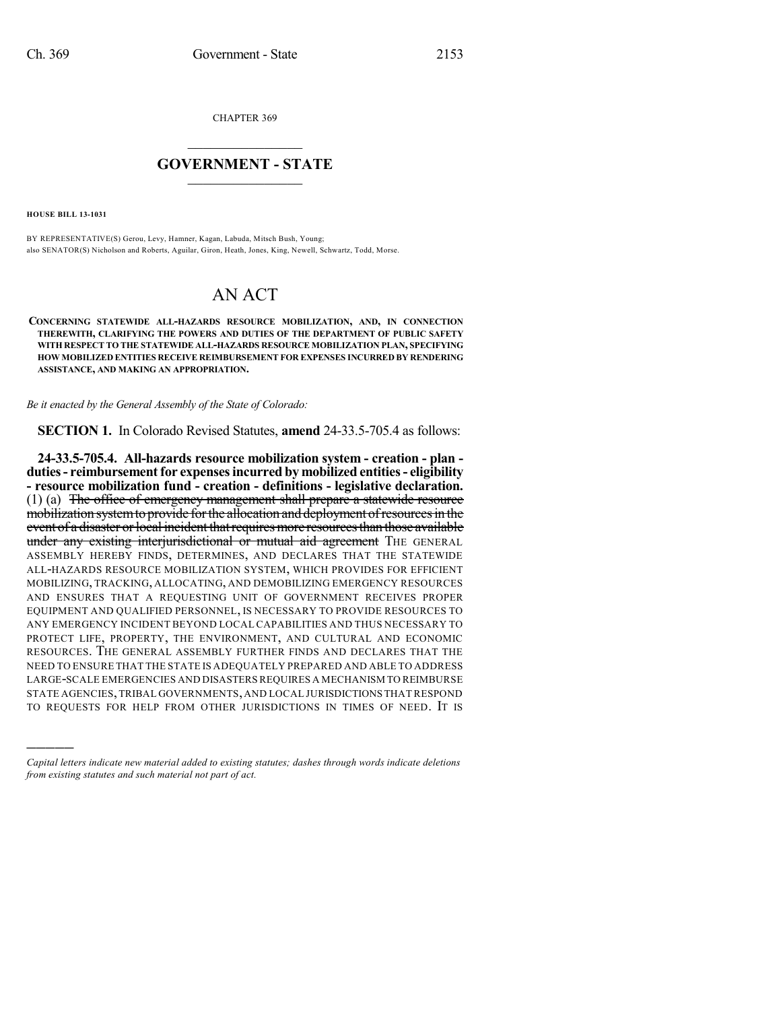CHAPTER 369

## $\overline{\phantom{a}}$  . The set of the set of the set of the set of the set of the set of the set of the set of the set of the set of the set of the set of the set of the set of the set of the set of the set of the set of the set o **GOVERNMENT - STATE**  $\_$

**HOUSE BILL 13-1031**

)))))

BY REPRESENTATIVE(S) Gerou, Levy, Hamner, Kagan, Labuda, Mitsch Bush, Young; also SENATOR(S) Nicholson and Roberts, Aguilar, Giron, Heath, Jones, King, Newell, Schwartz, Todd, Morse.

## AN ACT

**CONCERNING STATEWIDE ALL-HAZARDS RESOURCE MOBILIZATION, AND, IN CONNECTION THEREWITH, CLARIFYING THE POWERS AND DUTIES OF THE DEPARTMENT OF PUBLIC SAFETY WITH RESPECT TO THE STATEWIDE ALL-HAZARDS RESOURCE MOBILIZATION PLAN, SPECIFYING HOW MOBILIZED ENTITIES RECEIVE REIMBURSEMENT FOR EXPENSES INCURRED BY RENDERING ASSISTANCE, AND MAKING AN APPROPRIATION.**

*Be it enacted by the General Assembly of the State of Colorado:*

**SECTION 1.** In Colorado Revised Statutes, **amend** 24-33.5-705.4 as follows:

**24-33.5-705.4. All-hazards resource mobilization system - creation - plan duties- reimbursementfor expensesincurred by mobilized entities- eligibility - resource mobilization fund - creation - definitions - legislative declaration.** (1) (a) The office of emergency management shall prepare a statewide resource mobilization system to provide for the allocation and deployment of resources in the event of a disaster or local incident that requires more resources than those available under any existing interjurisdictional or mutual aid agreement THE GENERAL ASSEMBLY HEREBY FINDS, DETERMINES, AND DECLARES THAT THE STATEWIDE ALL-HAZARDS RESOURCE MOBILIZATION SYSTEM, WHICH PROVIDES FOR EFFICIENT MOBILIZING, TRACKING, ALLOCATING, AND DEMOBILIZING EMERGENCY RESOURCES AND ENSURES THAT A REQUESTING UNIT OF GOVERNMENT RECEIVES PROPER EQUIPMENT AND QUALIFIED PERSONNEL, IS NECESSARY TO PROVIDE RESOURCES TO ANY EMERGENCY INCIDENT BEYOND LOCAL CAPABILITIES AND THUS NECESSARY TO PROTECT LIFE, PROPERTY, THE ENVIRONMENT, AND CULTURAL AND ECONOMIC RESOURCES. THE GENERAL ASSEMBLY FURTHER FINDS AND DECLARES THAT THE NEED TO ENSURE THAT THE STATE IS ADEQUATELY PREPARED AND ABLE TO ADDRESS LARGE-SCALE EMERGENCIES AND DISASTERSREQUIRES A MECHANISM TO REIMBURSE STATE AGENCIES,TRIBAL GOVERNMENTS,AND LOCAL JURISDICTIONSTHAT RESPOND TO REQUESTS FOR HELP FROM OTHER JURISDICTIONS IN TIMES OF NEED. IT IS

*Capital letters indicate new material added to existing statutes; dashes through words indicate deletions from existing statutes and such material not part of act.*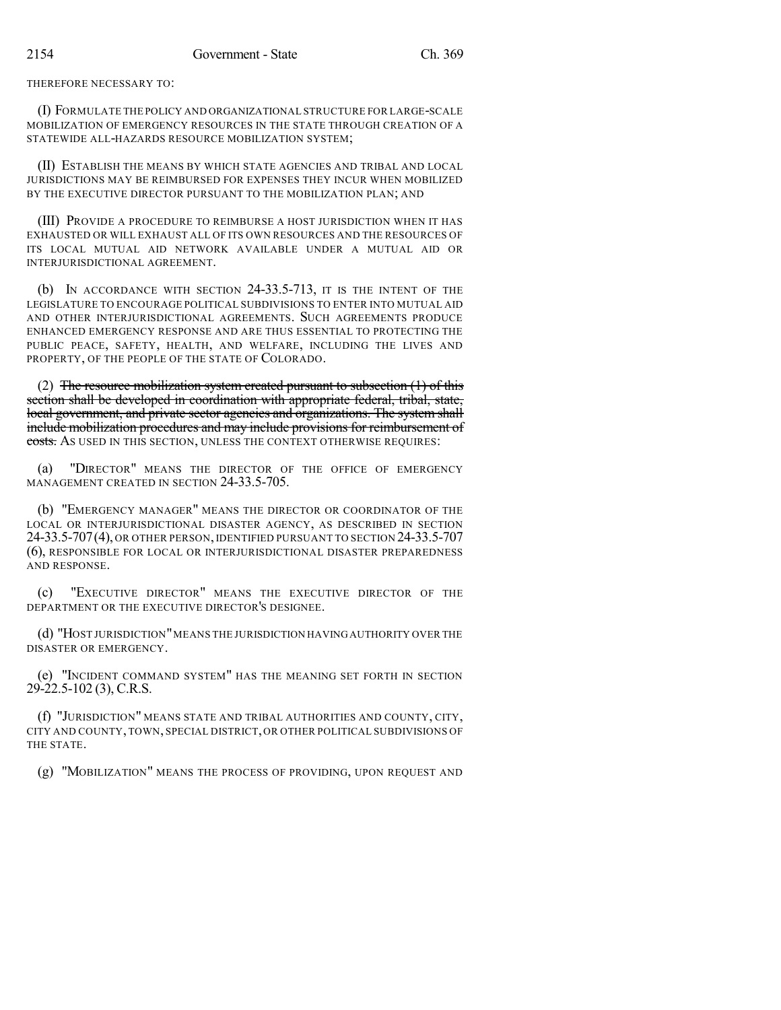THEREFORE NECESSARY TO:

(I) FORMULATE THE POLICY AND ORGANIZATIONAL STRUCTURE FOR LARGE-SCALE MOBILIZATION OF EMERGENCY RESOURCES IN THE STATE THROUGH CREATION OF A STATEWIDE ALL-HAZARDS RESOURCE MOBILIZATION SYSTEM;

(II) ESTABLISH THE MEANS BY WHICH STATE AGENCIES AND TRIBAL AND LOCAL JURISDICTIONS MAY BE REIMBURSED FOR EXPENSES THEY INCUR WHEN MOBILIZED BY THE EXECUTIVE DIRECTOR PURSUANT TO THE MOBILIZATION PLAN; AND

(III) PROVIDE A PROCEDURE TO REIMBURSE A HOST JURISDICTION WHEN IT HAS EXHAUSTED OR WILL EXHAUST ALL OF ITS OWN RESOURCES AND THE RESOURCES OF ITS LOCAL MUTUAL AID NETWORK AVAILABLE UNDER A MUTUAL AID OR INTERJURISDICTIONAL AGREEMENT.

(b) IN ACCORDANCE WITH SECTION 24-33.5-713, IT IS THE INTENT OF THE LEGISLATURE TO ENCOURAGE POLITICAL SUBDIVISIONS TO ENTER INTO MUTUAL AID AND OTHER INTERJURISDICTIONAL AGREEMENTS. SUCH AGREEMENTS PRODUCE ENHANCED EMERGENCY RESPONSE AND ARE THUS ESSENTIAL TO PROTECTING THE PUBLIC PEACE, SAFETY, HEALTH, AND WELFARE, INCLUDING THE LIVES AND PROPERTY, OF THE PEOPLE OF THE STATE OF COLORADO.

(2) The resource mobilization system created pursuant to subsection  $(1)$  of this section shall be developed in coordination with appropriate federal, tribal, state, local government, and private sector agencies and organizations. The system shall include mobilization procedures and may include provisions for reimbursement of costs. As used in this section, unless the context otherwise requires:

(a) "DIRECTOR" MEANS THE DIRECTOR OF THE OFFICE OF EMERGENCY MANAGEMENT CREATED IN SECTION 24-33.5-705.

(b) "EMERGENCY MANAGER" MEANS THE DIRECTOR OR COORDINATOR OF THE LOCAL OR INTERJURISDICTIONAL DISASTER AGENCY, AS DESCRIBED IN SECTION 24-33.5-707(4), OR OTHER PERSON, IDENTIFIED PURSUANT TO SECTION 24-33.5-707 (6), RESPONSIBLE FOR LOCAL OR INTERJURISDICTIONAL DISASTER PREPAREDNESS AND RESPONSE.

(c) "EXECUTIVE DIRECTOR" MEANS THE EXECUTIVE DIRECTOR OF THE DEPARTMENT OR THE EXECUTIVE DIRECTOR'S DESIGNEE.

(d) "HOST JURISDICTION"MEANS THE JURISDICTION HAVINGAUTHORITY OVER THE DISASTER OR EMERGENCY.

(e) "INCIDENT COMMAND SYSTEM" HAS THE MEANING SET FORTH IN SECTION 29-22.5-102 (3), C.R.S.

(f) "JURISDICTION" MEANS STATE AND TRIBAL AUTHORITIES AND COUNTY, CITY, CITY AND COUNTY, TOWN, SPECIAL DISTRICT, OR OTHER POLITICAL SUBDIVISIONS OF THE STATE.

(g) "MOBILIZATION" MEANS THE PROCESS OF PROVIDING, UPON REQUEST AND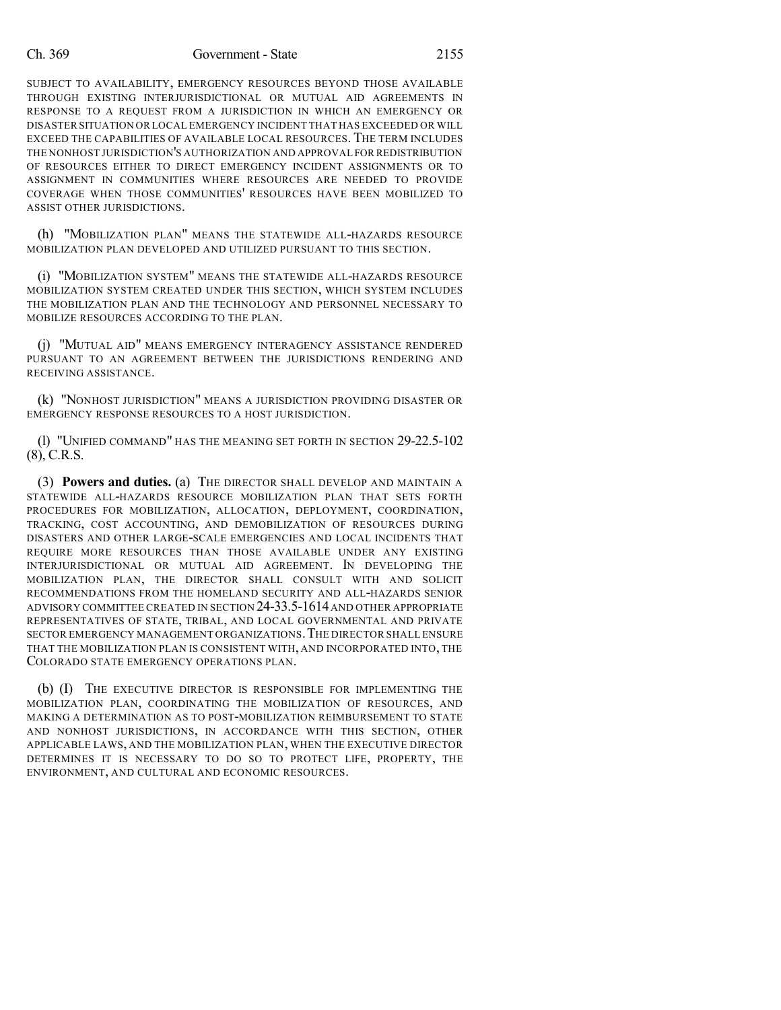## Ch. 369 Government - State 2155

SUBJECT TO AVAILABILITY, EMERGENCY RESOURCES BEYOND THOSE AVAILABLE THROUGH EXISTING INTERJURISDICTIONAL OR MUTUAL AID AGREEMENTS IN RESPONSE TO A REQUEST FROM A JURISDICTION IN WHICH AN EMERGENCY OR DISASTER SITUATION OR LOCAL EMERGENCY INCIDENT THAT HAS EXCEEDED OR WILL EXCEED THE CAPABILITIES OF AVAILABLE LOCAL RESOURCES. THE TERM INCLUDES THE NONHOST JURISDICTION'S AUTHORIZATION AND APPROVAL FOR REDISTRIBUTION OF RESOURCES EITHER TO DIRECT EMERGENCY INCIDENT ASSIGNMENTS OR TO ASSIGNMENT IN COMMUNITIES WHERE RESOURCES ARE NEEDED TO PROVIDE COVERAGE WHEN THOSE COMMUNITIES' RESOURCES HAVE BEEN MOBILIZED TO ASSIST OTHER JURISDICTIONS.

(h) "MOBILIZATION PLAN" MEANS THE STATEWIDE ALL-HAZARDS RESOURCE MOBILIZATION PLAN DEVELOPED AND UTILIZED PURSUANT TO THIS SECTION.

(i) "MOBILIZATION SYSTEM" MEANS THE STATEWIDE ALL-HAZARDS RESOURCE MOBILIZATION SYSTEM CREATED UNDER THIS SECTION, WHICH SYSTEM INCLUDES THE MOBILIZATION PLAN AND THE TECHNOLOGY AND PERSONNEL NECESSARY TO MOBILIZE RESOURCES ACCORDING TO THE PLAN.

(j) "MUTUAL AID" MEANS EMERGENCY INTERAGENCY ASSISTANCE RENDERED PURSUANT TO AN AGREEMENT BETWEEN THE JURISDICTIONS RENDERING AND RECEIVING ASSISTANCE.

(k) "NONHOST JURISDICTION" MEANS A JURISDICTION PROVIDING DISASTER OR EMERGENCY RESPONSE RESOURCES TO A HOST JURISDICTION.

(l) "UNIFIED COMMAND" HAS THE MEANING SET FORTH IN SECTION 29-22.5-102  $(8)$ , C.R.S.

(3) **Powers and duties.** (a) THE DIRECTOR SHALL DEVELOP AND MAINTAIN A STATEWIDE ALL-HAZARDS RESOURCE MOBILIZATION PLAN THAT SETS FORTH PROCEDURES FOR MOBILIZATION, ALLOCATION, DEPLOYMENT, COORDINATION, TRACKING, COST ACCOUNTING, AND DEMOBILIZATION OF RESOURCES DURING DISASTERS AND OTHER LARGE-SCALE EMERGENCIES AND LOCAL INCIDENTS THAT REQUIRE MORE RESOURCES THAN THOSE AVAILABLE UNDER ANY EXISTING INTERJURISDICTIONAL OR MUTUAL AID AGREEMENT. IN DEVELOPING THE MOBILIZATION PLAN, THE DIRECTOR SHALL CONSULT WITH AND SOLICIT RECOMMENDATIONS FROM THE HOMELAND SECURITY AND ALL-HAZARDS SENIOR ADVISORY COMMITTEE CREATED IN SECTION 24-33.5-1614AND OTHER APPROPRIATE REPRESENTATIVES OF STATE, TRIBAL, AND LOCAL GOVERNMENTAL AND PRIVATE SECTOR EMERGENCY MANAGEMENT ORGANIZATIONS. THE DIRECTOR SHALL ENSURE THAT THE MOBILIZATION PLAN IS CONSISTENT WITH, AND INCORPORATED INTO, THE COLORADO STATE EMERGENCY OPERATIONS PLAN.

(b) (I) THE EXECUTIVE DIRECTOR IS RESPONSIBLE FOR IMPLEMENTING THE MOBILIZATION PLAN, COORDINATING THE MOBILIZATION OF RESOURCES, AND MAKING A DETERMINATION AS TO POST-MOBILIZATION REIMBURSEMENT TO STATE AND NONHOST JURISDICTIONS, IN ACCORDANCE WITH THIS SECTION, OTHER APPLICABLE LAWS, AND THE MOBILIZATION PLAN, WHEN THE EXECUTIVE DIRECTOR DETERMINES IT IS NECESSARY TO DO SO TO PROTECT LIFE, PROPERTY, THE ENVIRONMENT, AND CULTURAL AND ECONOMIC RESOURCES.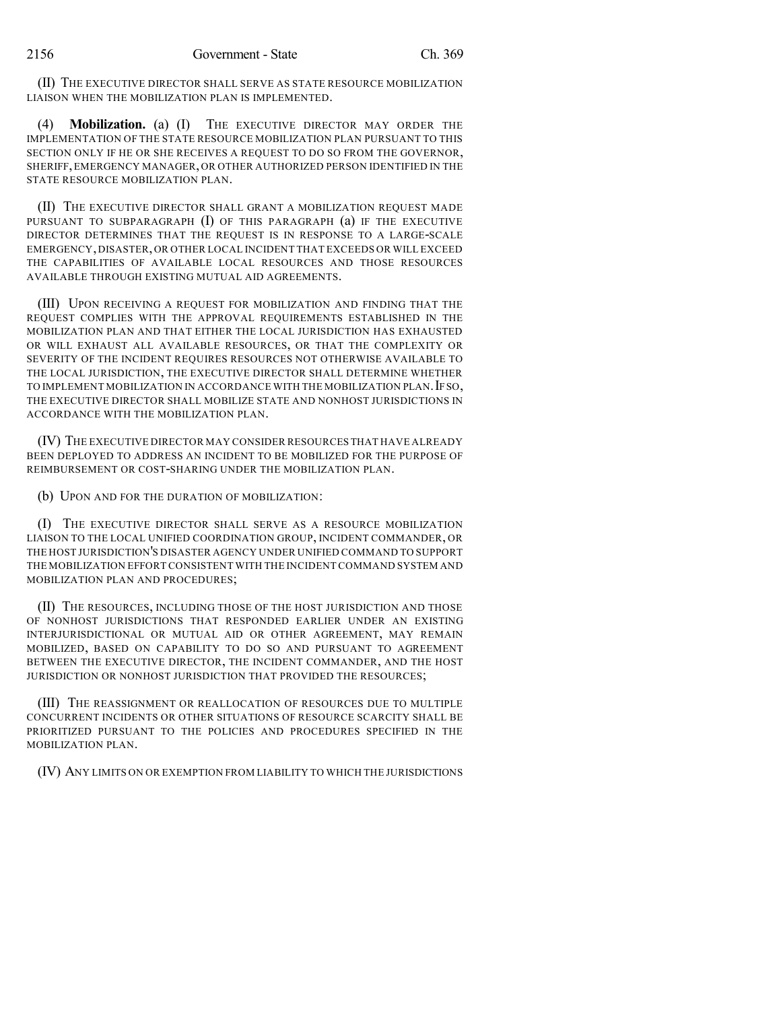(II) THE EXECUTIVE DIRECTOR SHALL SERVE AS STATE RESOURCE MOBILIZATION LIAISON WHEN THE MOBILIZATION PLAN IS IMPLEMENTED.

(4) **Mobilization.** (a) (I) THE EXECUTIVE DIRECTOR MAY ORDER THE IMPLEMENTATION OF THE STATE RESOURCE MOBILIZATION PLAN PURSUANT TO THIS SECTION ONLY IF HE OR SHE RECEIVES A REQUEST TO DO SO FROM THE GOVERNOR, SHERIFF,EMERGENCY MANAGER, OR OTHER AUTHORIZED PERSON IDENTIFIED IN THE STATE RESOURCE MOBILIZATION PLAN.

(II) THE EXECUTIVE DIRECTOR SHALL GRANT A MOBILIZATION REQUEST MADE PURSUANT TO SUBPARAGRAPH  $(I)$  of this paragraph  $(a)$  if the executive DIRECTOR DETERMINES THAT THE REQUEST IS IN RESPONSE TO A LARGE-SCALE EMERGENCY,DISASTER,OR OTHER LOCAL INCIDENT THAT EXCEEDS OR WILL EXCEED THE CAPABILITIES OF AVAILABLE LOCAL RESOURCES AND THOSE RESOURCES AVAILABLE THROUGH EXISTING MUTUAL AID AGREEMENTS.

(III) UPON RECEIVING A REQUEST FOR MOBILIZATION AND FINDING THAT THE REQUEST COMPLIES WITH THE APPROVAL REQUIREMENTS ESTABLISHED IN THE MOBILIZATION PLAN AND THAT EITHER THE LOCAL JURISDICTION HAS EXHAUSTED OR WILL EXHAUST ALL AVAILABLE RESOURCES, OR THAT THE COMPLEXITY OR SEVERITY OF THE INCIDENT REQUIRES RESOURCES NOT OTHERWISE AVAILABLE TO THE LOCAL JURISDICTION, THE EXECUTIVE DIRECTOR SHALL DETERMINE WHETHER TO IMPLEMENT MOBILIZATION IN ACCORDANCE WITH THE MOBILIZATION PLAN. IF SO, THE EXECUTIVE DIRECTOR SHALL MOBILIZE STATE AND NONHOST JURISDICTIONS IN ACCORDANCE WITH THE MOBILIZATION PLAN.

(IV) THE EXECUTIVE DIRECTOR MAY CONSIDER RESOURCES THAT HAVE ALREADY BEEN DEPLOYED TO ADDRESS AN INCIDENT TO BE MOBILIZED FOR THE PURPOSE OF REIMBURSEMENT OR COST-SHARING UNDER THE MOBILIZATION PLAN.

(b) UPON AND FOR THE DURATION OF MOBILIZATION:

(I) THE EXECUTIVE DIRECTOR SHALL SERVE AS A RESOURCE MOBILIZATION LIAISON TO THE LOCAL UNIFIED COORDINATION GROUP, INCIDENT COMMANDER, OR THE HOST JURISDICTION'S DISASTER AGENCY UNDER UNIFIED COMMAND TO SUPPORT THE MOBILIZATION EFFORT CONSISTENT WITH THE INCIDENT COMMAND SYSTEM AND MOBILIZATION PLAN AND PROCEDURES;

(II) THE RESOURCES, INCLUDING THOSE OF THE HOST JURISDICTION AND THOSE OF NONHOST JURISDICTIONS THAT RESPONDED EARLIER UNDER AN EXISTING INTERJURISDICTIONAL OR MUTUAL AID OR OTHER AGREEMENT, MAY REMAIN MOBILIZED, BASED ON CAPABILITY TO DO SO AND PURSUANT TO AGREEMENT BETWEEN THE EXECUTIVE DIRECTOR, THE INCIDENT COMMANDER, AND THE HOST JURISDICTION OR NONHOST JURISDICTION THAT PROVIDED THE RESOURCES;

(III) THE REASSIGNMENT OR REALLOCATION OF RESOURCES DUE TO MULTIPLE CONCURRENT INCIDENTS OR OTHER SITUATIONS OF RESOURCE SCARCITY SHALL BE PRIORITIZED PURSUANT TO THE POLICIES AND PROCEDURES SPECIFIED IN THE MOBILIZATION PLAN.

(IV) ANY LIMITS ON OR EXEMPTION FROM LIABILITY TO WHICH THE JURISDICTIONS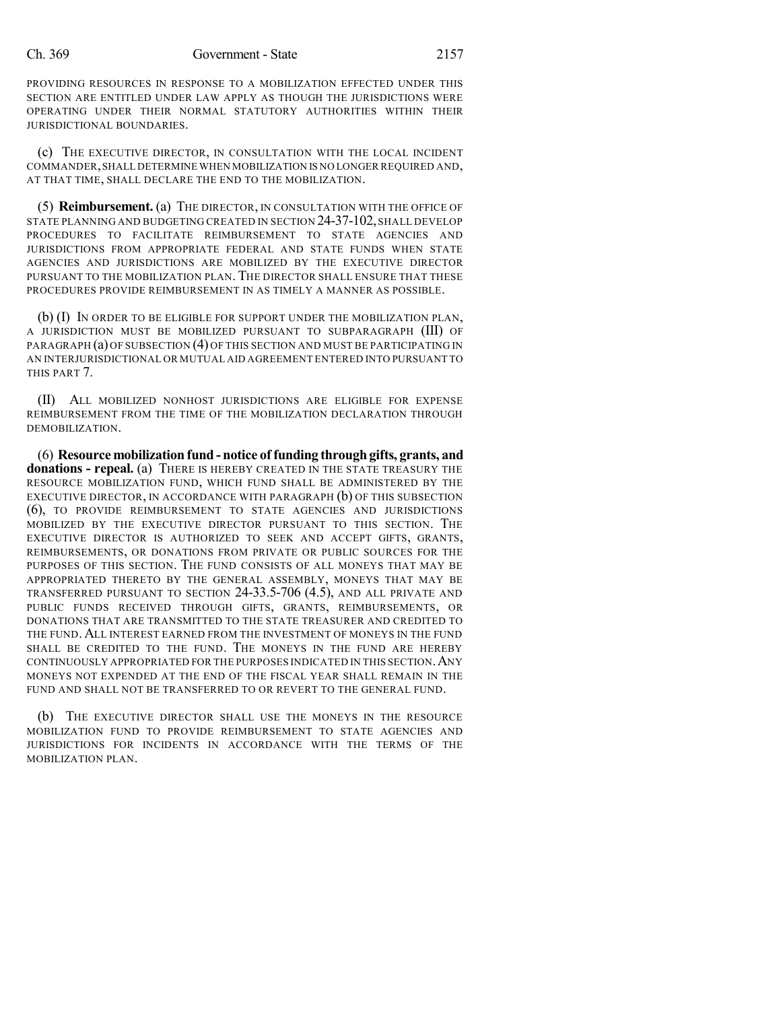PROVIDING RESOURCES IN RESPONSE TO A MOBILIZATION EFFECTED UNDER THIS SECTION ARE ENTITLED UNDER LAW APPLY AS THOUGH THE JURISDICTIONS WERE OPERATING UNDER THEIR NORMAL STATUTORY AUTHORITIES WITHIN THEIR JURISDICTIONAL BOUNDARIES.

(c) THE EXECUTIVE DIRECTOR, IN CONSULTATION WITH THE LOCAL INCIDENT COMMANDER,SHALL DETERMINE WHEN MOBILIZATION IS NO LONGER REQUIRED AND, AT THAT TIME, SHALL DECLARE THE END TO THE MOBILIZATION.

(5) **Reimbursement.** (a) THE DIRECTOR, IN CONSULTATION WITH THE OFFICE OF STATE PLANNING AND BUDGETING CREATED IN SECTION 24-37-102, SHALL DEVELOP PROCEDURES TO FACILITATE REIMBURSEMENT TO STATE AGENCIES AND JURISDICTIONS FROM APPROPRIATE FEDERAL AND STATE FUNDS WHEN STATE AGENCIES AND JURISDICTIONS ARE MOBILIZED BY THE EXECUTIVE DIRECTOR PURSUANT TO THE MOBILIZATION PLAN. THE DIRECTOR SHALL ENSURE THAT THESE PROCEDURES PROVIDE REIMBURSEMENT IN AS TIMELY A MANNER AS POSSIBLE.

(b) (I) IN ORDER TO BE ELIGIBLE FOR SUPPORT UNDER THE MOBILIZATION PLAN, A JURISDICTION MUST BE MOBILIZED PURSUANT TO SUBPARAGRAPH (III) OF PARAGRAPH (a) OF SUBSECTION (4) OF THIS SECTION AND MUST BE PARTICIPATING IN AN INTERJURISDICTIONAL OR MUTUAL AID AGREEMENT ENTERED INTO PURSUANT TO THIS PART 7.

(II) ALL MOBILIZED NONHOST JURISDICTIONS ARE ELIGIBLE FOR EXPENSE REIMBURSEMENT FROM THE TIME OF THE MOBILIZATION DECLARATION THROUGH DEMOBILIZATION.

(6) **Resource mobilization fund - notice of funding through gifts, grants, and donations - repeal.** (a) THERE IS HEREBY CREATED IN THE STATE TREASURY THE RESOURCE MOBILIZATION FUND, WHICH FUND SHALL BE ADMINISTERED BY THE EXECUTIVE DIRECTOR, IN ACCORDANCE WITH PARAGRAPH (b) OF THIS SUBSECTION (6), TO PROVIDE REIMBURSEMENT TO STATE AGENCIES AND JURISDICTIONS MOBILIZED BY THE EXECUTIVE DIRECTOR PURSUANT TO THIS SECTION. THE EXECUTIVE DIRECTOR IS AUTHORIZED TO SEEK AND ACCEPT GIFTS, GRANTS, REIMBURSEMENTS, OR DONATIONS FROM PRIVATE OR PUBLIC SOURCES FOR THE PURPOSES OF THIS SECTION. THE FUND CONSISTS OF ALL MONEYS THAT MAY BE APPROPRIATED THERETO BY THE GENERAL ASSEMBLY, MONEYS THAT MAY BE TRANSFERRED PURSUANT TO SECTION 24-33.5-706 (4.5), AND ALL PRIVATE AND PUBLIC FUNDS RECEIVED THROUGH GIFTS, GRANTS, REIMBURSEMENTS, OR DONATIONS THAT ARE TRANSMITTED TO THE STATE TREASURER AND CREDITED TO THE FUND. ALL INTEREST EARNED FROM THE INVESTMENT OF MONEYS IN THE FUND SHALL BE CREDITED TO THE FUND. THE MONEYS IN THE FUND ARE HEREBY CONTINUOUSLY APPROPRIATED FOR THE PURPOSES INDICATED IN THIS SECTION.ANY MONEYS NOT EXPENDED AT THE END OF THE FISCAL YEAR SHALL REMAIN IN THE FUND AND SHALL NOT BE TRANSFERRED TO OR REVERT TO THE GENERAL FUND.

(b) THE EXECUTIVE DIRECTOR SHALL USE THE MONEYS IN THE RESOURCE MOBILIZATION FUND TO PROVIDE REIMBURSEMENT TO STATE AGENCIES AND JURISDICTIONS FOR INCIDENTS IN ACCORDANCE WITH THE TERMS OF THE MOBILIZATION PLAN.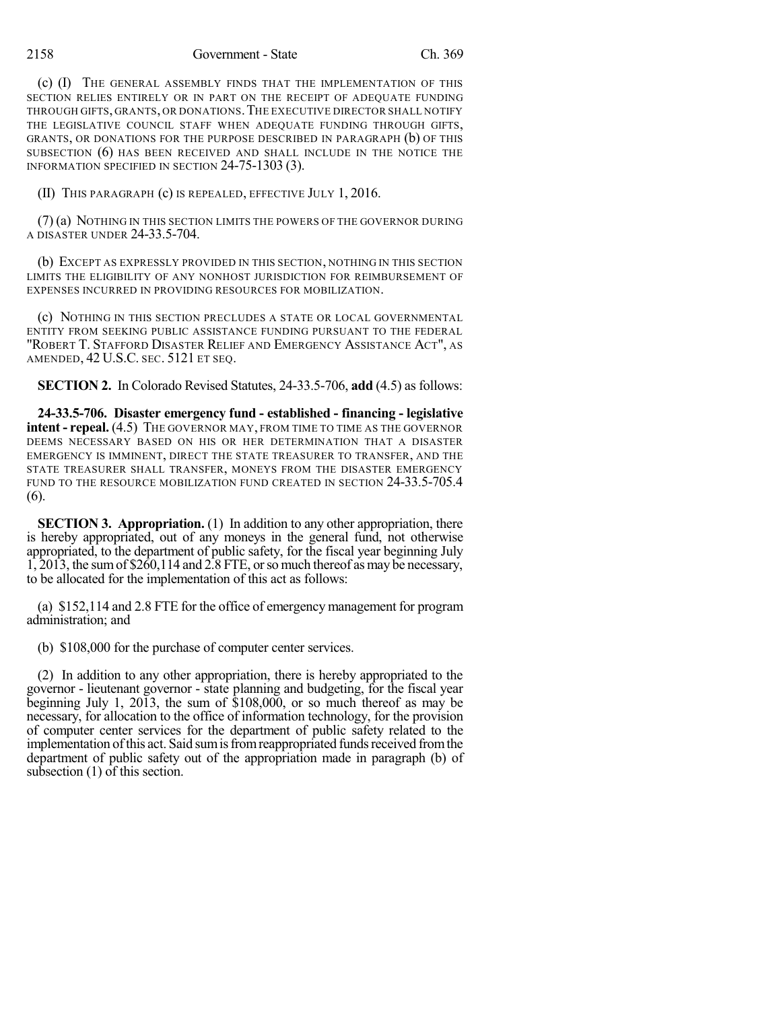(c) (I) THE GENERAL ASSEMBLY FINDS THAT THE IMPLEMENTATION OF THIS SECTION RELIES ENTIRELY OR IN PART ON THE RECEIPT OF ADEQUATE FUNDING THROUGH GIFTS, GRANTS, OR DONATIONS.THE EXECUTIVE DIRECTOR SHALL NOTIFY THE LEGISLATIVE COUNCIL STAFF WHEN ADEQUATE FUNDING THROUGH GIFTS, GRANTS, OR DONATIONS FOR THE PURPOSE DESCRIBED IN PARAGRAPH (b) OF THIS SUBSECTION (6) HAS BEEN RECEIVED AND SHALL INCLUDE IN THE NOTICE THE INFORMATION SPECIFIED IN SECTION 24-75-1303 (3).

(II) THIS PARAGRAPH (c) IS REPEALED, EFFECTIVE JULY 1, 2016.

(7) (a) NOTHING IN THIS SECTION LIMITS THE POWERS OF THE GOVERNOR DURING A DISASTER UNDER 24-33.5-704.

(b) EXCEPT AS EXPRESSLY PROVIDED IN THIS SECTION, NOTHING IN THIS SECTION LIMITS THE ELIGIBILITY OF ANY NONHOST JURISDICTION FOR REIMBURSEMENT OF EXPENSES INCURRED IN PROVIDING RESOURCES FOR MOBILIZATION.

(c) NOTHING IN THIS SECTION PRECLUDES A STATE OR LOCAL GOVERNMENTAL ENTITY FROM SEEKING PUBLIC ASSISTANCE FUNDING PURSUANT TO THE FEDERAL "ROBERT T. STAFFORD DISASTER RELIEF AND EMERGENCY ASSISTANCE ACT", AS AMENDED, 42 U.S.C. SEC. 5121 ET SEQ.

**SECTION 2.** In Colorado Revised Statutes, 24-33.5-706, **add** (4.5) as follows:

**24-33.5-706. Disaster emergency fund - established - financing - legislative intent - repeal.** (4.5) THE GOVERNOR MAY, FROM TIME TO TIME AS THE GOVERNOR DEEMS NECESSARY BASED ON HIS OR HER DETERMINATION THAT A DISASTER EMERGENCY IS IMMINENT, DIRECT THE STATE TREASURER TO TRANSFER, AND THE STATE TREASURER SHALL TRANSFER, MONEYS FROM THE DISASTER EMERGENCY FUND TO THE RESOURCE MOBILIZATION FUND CREATED IN SECTION 24-33.5-705.4 (6).

**SECTION 3. Appropriation.** (1) In addition to any other appropriation, there is hereby appropriated, out of any moneys in the general fund, not otherwise appropriated, to the department of public safety, for the fiscal year beginning July  $1,2013$ , the sum of \$260,114 and 2.8 FTE, or so much thereof as may be necessary, to be allocated for the implementation of this act as follows:

(a) \$152,114 and 2.8 FTE for the office of emergency management for program administration; and

(b) \$108,000 for the purchase of computer center services.

(2) In addition to any other appropriation, there is hereby appropriated to the governor - lieutenant governor - state planning and budgeting, for the fiscal year beginning July 1, 2013, the sum of \$108,000, or so much thereof as may be necessary, for allocation to the office of information technology, for the provision of computer center services for the department of public safety related to the implementation of this act. Said sum is from reappropriated funds received from the department of public safety out of the appropriation made in paragraph (b) of subsection (1) of this section.